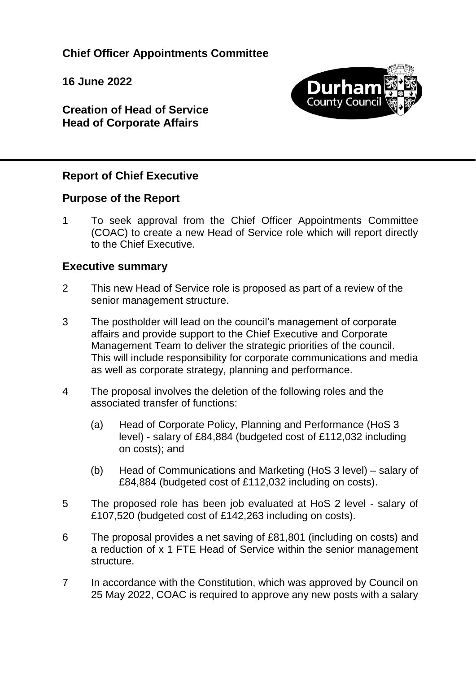**Chief Officer Appointments Committee**

**16 June 2022**



**Creation of Head of Service Head of Corporate Affairs**

#### **Report of Chief Executive**

#### **Purpose of the Report**

1 To seek approval from the Chief Officer Appointments Committee (COAC) to create a new Head of Service role which will report directly to the Chief Executive.

#### **Executive summary**

- 2 This new Head of Service role is proposed as part of a review of the senior management structure.
- 3 The postholder will lead on the council's management of corporate affairs and provide support to the Chief Executive and Corporate Management Team to deliver the strategic priorities of the council. This will include responsibility for corporate communications and media as well as corporate strategy, planning and performance.
- 4 The proposal involves the deletion of the following roles and the associated transfer of functions:
	- (a) Head of Corporate Policy, Planning and Performance (HoS 3 level) - salary of £84,884 (budgeted cost of £112,032 including on costs); and
	- (b) Head of Communications and Marketing (HoS 3 level) salary of £84,884 (budgeted cost of £112,032 including on costs).
- 5 The proposed role has been job evaluated at HoS 2 level salary of £107,520 (budgeted cost of £142,263 including on costs).
- 6 The proposal provides a net saving of £81,801 (including on costs) and a reduction of x 1 FTE Head of Service within the senior management structure.
- 7 In accordance with the Constitution, which was approved by Council on 25 May 2022, COAC is required to approve any new posts with a salary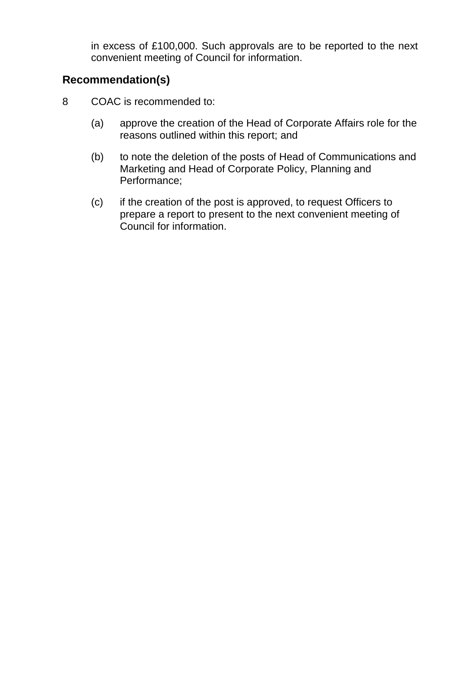in excess of £100,000. Such approvals are to be reported to the next convenient meeting of Council for information.

### **Recommendation(s)**

- 8 COAC is recommended to:
	- (a) approve the creation of the Head of Corporate Affairs role for the reasons outlined within this report; and
	- (b) to note the deletion of the posts of Head of Communications and Marketing and Head of Corporate Policy, Planning and Performance;
	- (c) if the creation of the post is approved, to request Officers to prepare a report to present to the next convenient meeting of Council for information.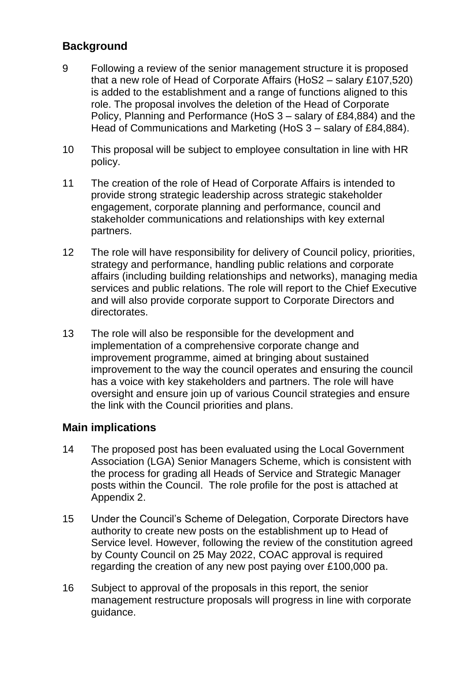### **Background**

- 9 Following a review of the senior management structure it is proposed that a new role of Head of Corporate Affairs (HoS2 – salary £107,520) is added to the establishment and a range of functions aligned to this role. The proposal involves the deletion of the Head of Corporate Policy, Planning and Performance (HoS 3 – salary of £84,884) and the Head of Communications and Marketing (HoS 3 – salary of £84,884).
- 10 This proposal will be subject to employee consultation in line with HR policy.
- 11 The creation of the role of Head of Corporate Affairs is intended to provide strong strategic leadership across strategic stakeholder engagement, corporate planning and performance, council and stakeholder communications and relationships with key external partners.
- 12 The role will have responsibility for delivery of Council policy, priorities, strategy and performance, handling public relations and corporate affairs (including building relationships and networks), managing media services and public relations. The role will report to the Chief Executive and will also provide corporate support to Corporate Directors and directorates.
- 13 The role will also be responsible for the development and implementation of a comprehensive corporate change and improvement programme, aimed at bringing about sustained improvement to the way the council operates and ensuring the council has a voice with key stakeholders and partners. The role will have oversight and ensure join up of various Council strategies and ensure the link with the Council priorities and plans.

#### **Main implications**

- 14 The proposed post has been evaluated using the Local Government Association (LGA) Senior Managers Scheme, which is consistent with the process for grading all Heads of Service and Strategic Manager posts within the Council. The role profile for the post is attached at Appendix 2.
- 15 Under the Council's Scheme of Delegation, Corporate Directors have authority to create new posts on the establishment up to Head of Service level. However, following the review of the constitution agreed by County Council on 25 May 2022, COAC approval is required regarding the creation of any new post paying over £100,000 pa.
- 16 Subject to approval of the proposals in this report, the senior management restructure proposals will progress in line with corporate guidance.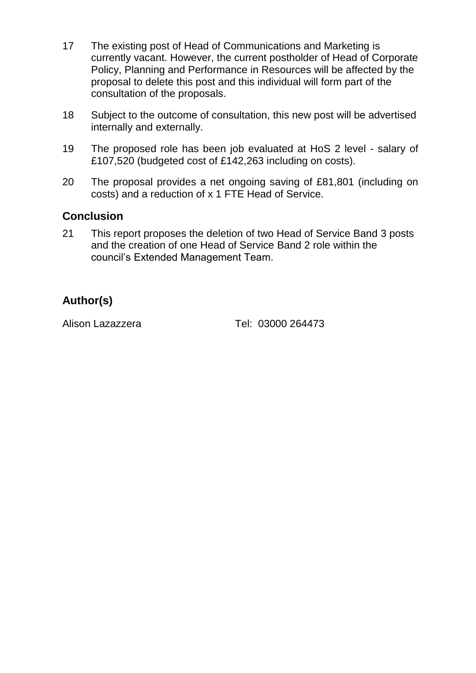- 17 The existing post of Head of Communications and Marketing is currently vacant. However, the current postholder of Head of Corporate Policy, Planning and Performance in Resources will be affected by the proposal to delete this post and this individual will form part of the consultation of the proposals.
- 18 Subject to the outcome of consultation, this new post will be advertised internally and externally.
- 19 The proposed role has been job evaluated at HoS 2 level salary of £107,520 (budgeted cost of £142,263 including on costs).
- 20 The proposal provides a net ongoing saving of £81,801 (including on costs) and a reduction of x 1 FTE Head of Service.

#### **Conclusion**

21 This report proposes the deletion of two Head of Service Band 3 posts and the creation of one Head of Service Band 2 role within the council's Extended Management Team.

### **Author(s)**

Alison Lazazzera Tel: 03000 264473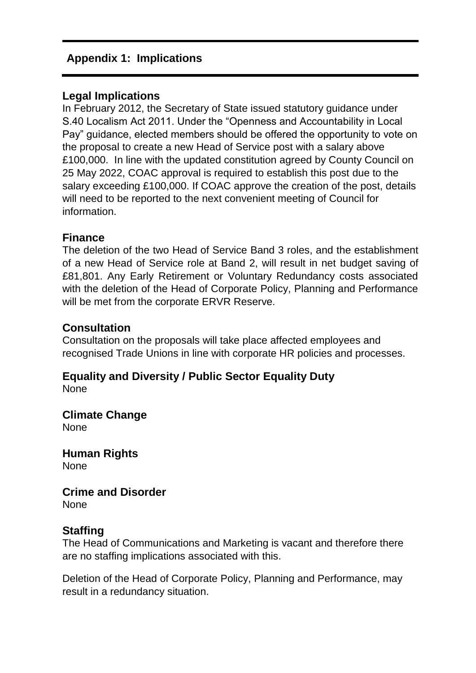#### **Appendix 1: Implications**

#### **Legal Implications**

In February 2012, the Secretary of State issued statutory guidance under S.40 Localism Act 2011. Under the "Openness and Accountability in Local Pay" guidance, elected members should be offered the opportunity to vote on the proposal to create a new Head of Service post with a salary above £100,000. In line with the updated constitution agreed by County Council on 25 May 2022, COAC approval is required to establish this post due to the salary exceeding £100,000. If COAC approve the creation of the post, details will need to be reported to the next convenient meeting of Council for information.

#### **Finance**

The deletion of the two Head of Service Band 3 roles, and the establishment of a new Head of Service role at Band 2, will result in net budget saving of £81,801. Any Early Retirement or Voluntary Redundancy costs associated with the deletion of the Head of Corporate Policy, Planning and Performance will be met from the corporate ERVR Reserve.

#### **Consultation**

Consultation on the proposals will take place affected employees and recognised Trade Unions in line with corporate HR policies and processes.

#### **Equality and Diversity / Public Sector Equality Duty** None

**Climate Change** None

**Human Rights** None

# **Crime and Disorder**

None

#### **Staffing**

The Head of Communications and Marketing is vacant and therefore there are no staffing implications associated with this.

Deletion of the Head of Corporate Policy, Planning and Performance, may result in a redundancy situation.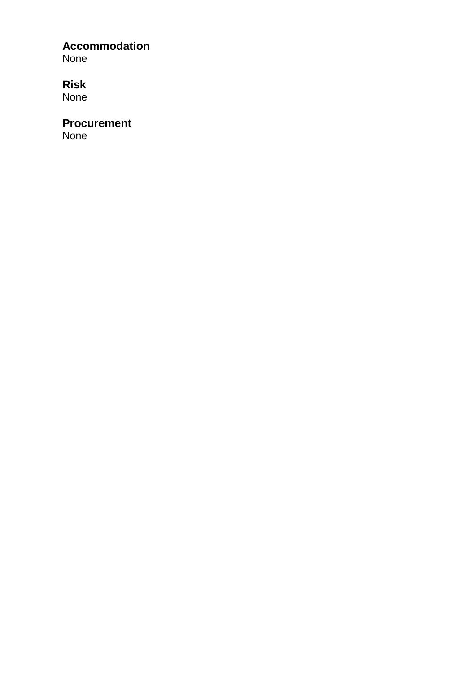## **Accommodation**

None

## **Risk**

None

## **Procurement**

None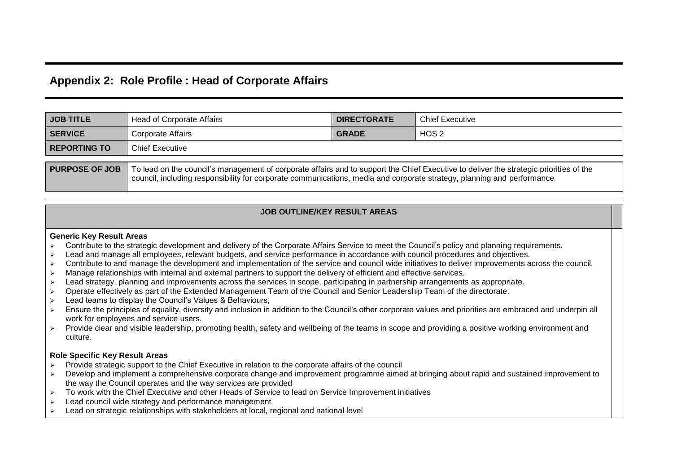#### **Appendix 2: Role Profile : Head of Corporate Affairs**

| <b>JOB TITLE</b>                                                                                                                                                                                                                                                                          | <b>Head of Corporate Affairs</b> | <b>DIRECTORATE</b> | <b>Chief Executive</b> |  |  |  |
|-------------------------------------------------------------------------------------------------------------------------------------------------------------------------------------------------------------------------------------------------------------------------------------------|----------------------------------|--------------------|------------------------|--|--|--|
| <b>SERVICE</b>                                                                                                                                                                                                                                                                            | Corporate Affairs                | <b>GRADE</b>       | HOS 2                  |  |  |  |
| <b>REPORTING TO</b>                                                                                                                                                                                                                                                                       | <b>Chief Executive</b>           |                    |                        |  |  |  |
| <b>PURPOSE OF JOB</b><br>To lead on the council's management of corporate affairs and to support the Chief Executive to deliver the strategic priorities of the<br>council, including responsibility for corporate communications, media and corporate strategy, planning and performance |                                  |                    |                        |  |  |  |

#### **JOB OUTLINE/KEY RESULT AREAS**

#### **Generic Key Result Areas**

- $\triangleright$  Contribute to the strategic development and delivery of the Corporate Affairs Service to meet the Council's policy and planning requirements.
- > Lead and manage all employees, relevant budgets, and service performance in accordance with council procedures and objectives.
- $\triangleright$  Contribute to and manage the development and implementation of the service and council wide initiatives to deliver improvements across the council.
- $\triangleright$  Manage relationships with internal and external partners to support the delivery of efficient and effective services.
- > Lead strategy, planning and improvements across the services in scope, participating in partnership arrangements as appropriate.
- Operate effectively as part of the Extended Management Team of the Council and Senior Leadership Team of the directorate.
- $\triangleright$  Lead teams to display the Council's Values & Behaviours,
- Ensure the principles of equality, diversity and inclusion in addition to the Council's other corporate values and priorities are embraced and underpin all work for employees and service users.
- > Provide clear and visible leadership, promoting health, safety and wellbeing of the teams in scope and providing a positive working environment and culture.

#### **Role Specific Key Result Areas**

- $\geq$  Provide strategic support to the Chief Executive in relation to the corporate affairs of the council
- > Develop and implement a comprehensive corporate change and improvement programme aimed at bringing about rapid and sustained improvement to the way the Council operates and the way services are provided
- $\geq$  To work with the Chief Executive and other Heads of Service to lead on Service Improvement initiatives
- $\geq$  Lead council wide strategy and performance management
- $\geq$  Lead on strategic relationships with stakeholders at local, regional and national level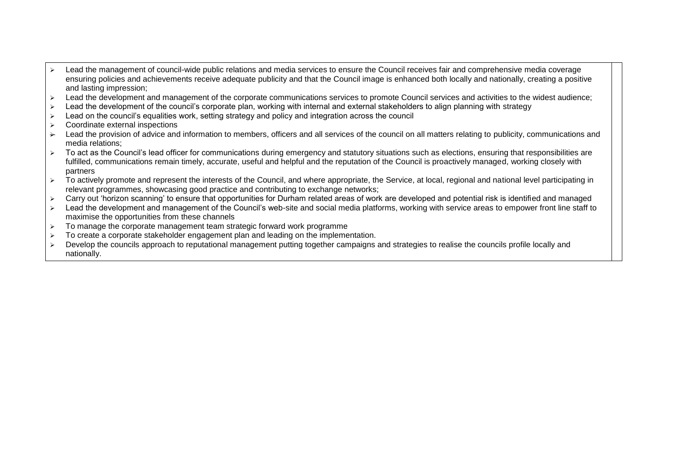- Lead the management of council-wide public relations and media services to ensure the Council receives fair and comprehensive media coverage ensuring policies and achievements receive adequate publicity and that the Council image is enhanced both locally and nationally, creating a positive and lasting impression;
- > Lead the development and management of the corporate communications services to promote Council services and activities to the widest audience:
- $\triangleright$  Lead the development of the council's corporate plan, working with internal and external stakeholders to align planning with strategy
- $\geq$  Lead on the council's equalities work, setting strategy and policy and integration across the council
- $\triangleright$  Coordinate external inspections
- $\rightarrow$  Lead the provision of advice and information to members, officers and all services of the council on all matters relating to publicity, communications and media relations;
- > To act as the Council's lead officer for communications during emergency and statutory situations such as elections, ensuring that responsibilities are fulfilled, communications remain timely, accurate, useful and helpful and the reputation of the Council is proactively managed, working closely with partners
- $\triangleright$  To actively promote and represent the interests of the Council, and where appropriate, the Service, at local, regional and national level participating in relevant programmes, showcasing good practice and contributing to exchange networks;
- > Carry out 'horizon scanning' to ensure that opportunities for Durham related areas of work are developed and potential risk is identified and managed
- > Lead the development and management of the Council's web-site and social media platforms, working with service areas to empower front line staff to maximise the opportunities from these channels
- $\triangleright$  To manage the corporate management team strategic forward work programme
- $\geq$  To create a corporate stakeholder engagement plan and leading on the implementation.
- > Develop the councils approach to reputational management putting together campaigns and strategies to realise the councils profile locally and nationally.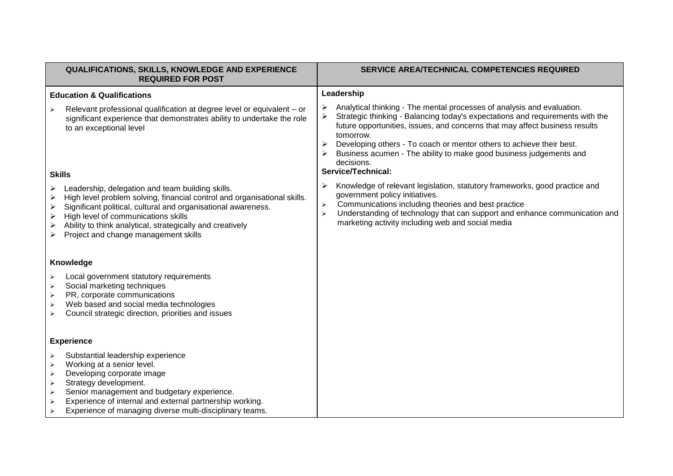|                                                                                                                                                                             | QUALIFICATIONS, SKILLS, KNOWLEDGE AND EXPERIENCE<br><b>REQUIRED FOR POST</b>                                                                                                                                                                                                                                                              |                                                     | SERVICE AREA/TECHNICAL COMPETENCIES REQUIRED                                                                                                                                                                                                                                                                                                                                                                                          |  |
|-----------------------------------------------------------------------------------------------------------------------------------------------------------------------------|-------------------------------------------------------------------------------------------------------------------------------------------------------------------------------------------------------------------------------------------------------------------------------------------------------------------------------------------|-----------------------------------------------------|---------------------------------------------------------------------------------------------------------------------------------------------------------------------------------------------------------------------------------------------------------------------------------------------------------------------------------------------------------------------------------------------------------------------------------------|--|
| <b>Education &amp; Qualifications</b>                                                                                                                                       |                                                                                                                                                                                                                                                                                                                                           | Leadership                                          |                                                                                                                                                                                                                                                                                                                                                                                                                                       |  |
| $\blacktriangleright$<br><b>Skills</b>                                                                                                                                      | Relevant professional qualification at degree level or equivalent - or<br>significant experience that demonstrates ability to undertake the role<br>to an exceptional level                                                                                                                                                               |                                                     | Analytical thinking - The mental processes of analysis and evaluation.<br>Strategic thinking - Balancing today's expectations and requirements with the<br>future opportunities, issues, and concerns that may affect business results<br>tomorrow.<br>Developing others - To coach or mentor others to achieve their best.<br>Business acumen - The ability to make good business judgements and<br>decisions.<br>Service/Technical: |  |
| $\blacktriangleright$<br>➤<br>➤<br>$\blacktriangleright$<br>≻                                                                                                               | Leadership, delegation and team building skills.<br>High level problem solving, financial control and organisational skills.<br>Significant political, cultural and organisational awareness.<br>High level of communications skills<br>Ability to think analytical, strategically and creatively<br>Project and change management skills | ⋗<br>$\blacktriangleright$<br>$\blacktriangleright$ | Knowledge of relevant legislation, statutory frameworks, good practice and<br>government policy initiatives.<br>Communications including theories and best practice<br>Understanding of technology that can support and enhance communication and<br>marketing activity including web and social media                                                                                                                                |  |
| Knowledge                                                                                                                                                                   |                                                                                                                                                                                                                                                                                                                                           |                                                     |                                                                                                                                                                                                                                                                                                                                                                                                                                       |  |
| $\blacktriangleright$<br>$\blacktriangleright$<br>$\blacktriangleright$<br>$\blacktriangleright$<br>➤                                                                       | Local government statutory requirements<br>Social marketing techniques<br>PR, corporate communications<br>Web based and social media technologies<br>Council strategic direction, priorities and issues                                                                                                                                   |                                                     |                                                                                                                                                                                                                                                                                                                                                                                                                                       |  |
| <b>Experience</b>                                                                                                                                                           |                                                                                                                                                                                                                                                                                                                                           |                                                     |                                                                                                                                                                                                                                                                                                                                                                                                                                       |  |
| $\blacktriangleright$<br>$\blacktriangleright$<br>$\blacktriangleright$<br>$\blacktriangleright$<br>$\blacktriangleright$<br>$\blacktriangleright$<br>$\blacktriangleright$ | Substantial leadership experience<br>Working at a senior level.<br>Developing corporate image<br>Strategy development.<br>Senior management and budgetary experience.<br>Experience of internal and external partnership working.<br>Experience of managing diverse multi-disciplinary teams.                                             |                                                     |                                                                                                                                                                                                                                                                                                                                                                                                                                       |  |